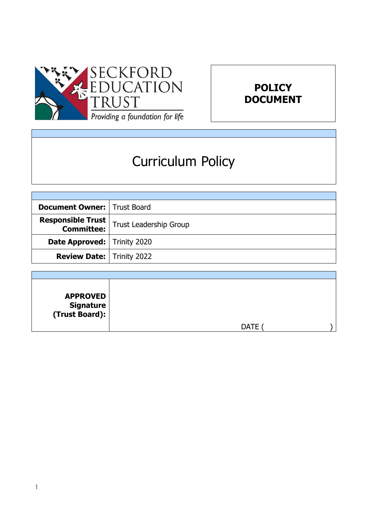



# Curriculum Policy

| <b>Document Owner:   Trust Board</b> |                        |
|--------------------------------------|------------------------|
| <b>Responsible Trust</b>             | Trust Leadership Group |
| <b>Date Approved:   Trinity 2020</b> |                        |
| <b>Review Date:   Trinity 2022</b>   |                        |

| <b>APPROVED</b><br>  Signature<br>  (Trust Board): |             |
|----------------------------------------------------|-------------|
|                                                    | <b>DATE</b> |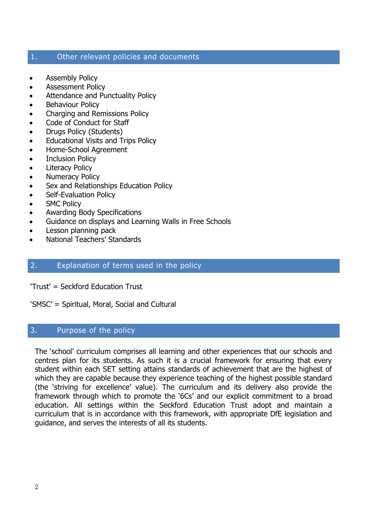#### 1. Other relevant policies and documents

- Assembly Policy
- Assessment Policy
- Attendance and Punctuality Policy
- Behaviour Policy
- Charging and Remissions Policy
- Code of Conduct for Staff
- Drugs Policy (Students)
- Educational Visits and Trips Policy
- Home-School Agreement
- Inclusion Policy
- Literacy Policy
- Numeracy Policy
- Sex and Relationships Education Policy
- Self-Evaluation Policy
- SMC Policy
- Awarding Body Specifications
- Guidance on displays and Learning Walls in Free Schools
- Lesson planning pack
- National Teachers' Standards

#### 2. Explanation of terms used in the policy

'Trust' = Seckford Education Trust

'SMSC' = Spiritual, Moral, Social and Cultural

#### 3. Purpose of the policy

The 'school' curriculum comprises all learning and other experiences that our schools and centres plan for its students. As such it is a crucial framework for ensuring that every student within each SET setting attains standards of achievement that are the highest of which they are capable because they experience teaching of the highest possible standard (the 'striving for excellence' value). The curriculum and its delivery also provide the framework through which to promote the '6Cs' and our explicit commitment to a broad education. All settings within the Seckford Education Trust adopt and maintain a curriculum that is in accordance with this framework, with appropriate DfE legislation and guidance, and serves the interests of all its students.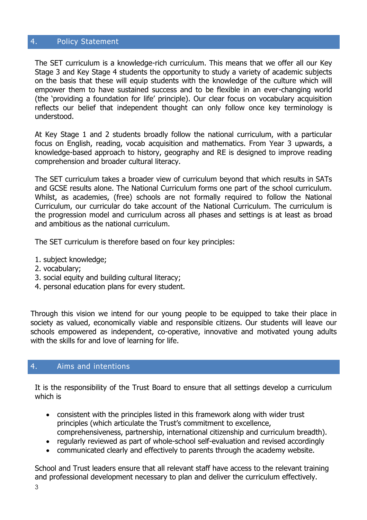#### 4. Policy Statement

The SET curriculum is a knowledge-rich curriculum. This means that we offer all our Key Stage 3 and Key Stage 4 students the opportunity to study a variety of academic subjects on the basis that these will equip students with the knowledge of the culture which will empower them to have sustained success and to be flexible in an ever-changing world (the 'providing a foundation for life' principle). Our clear focus on vocabulary acquisition reflects our belief that independent thought can only follow once key terminology is understood.

At Key Stage 1 and 2 students broadly follow the national curriculum, with a particular focus on English, reading, vocab acquisition and mathematics. From Year 3 upwards, a knowledge-based approach to history, geography and RE is designed to improve reading comprehension and broader cultural literacy.

The SET curriculum takes a broader view of curriculum beyond that which results in SATs and GCSE results alone. The National Curriculum forms one part of the school curriculum. Whilst, as academies, (free) schools are not formally required to follow the National Curriculum, our curricular do take account of the National Curriculum. The curriculum is the progression model and curriculum across all phases and settings is at least as broad and ambitious as the national curriculum.

The SET curriculum is therefore based on four key principles:

- 1. subject knowledge;
- 2. vocabulary;
- 3. social equity and building cultural literacy;
- 4. personal education plans for every student.

Through this vision we intend for our young people to be equipped to take their place in society as valued, economically viable and responsible citizens. Our students will leave our schools empowered as independent, co-operative, innovative and motivated young adults with the skills for and love of learning for life.

#### 4. Aims and intentions

It is the responsibility of the Trust Board to ensure that all settings develop a curriculum which is

- consistent with the principles listed in this framework along with wider trust principles (which articulate the Trust's commitment to excellence, comprehensiveness, partnership, international citizenship and curriculum breadth).
- regularly reviewed as part of whole-school self-evaluation and revised accordingly
- communicated clearly and effectively to parents through the academy website.

School and Trust leaders ensure that all relevant staff have access to the relevant training and professional development necessary to plan and deliver the curriculum effectively.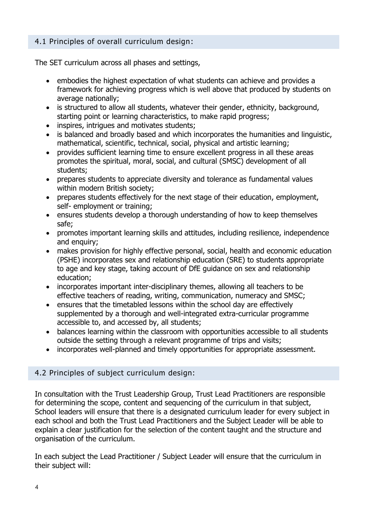#### 4.1 Principles of overall curriculum design:

The SET curriculum across all phases and settings,

- embodies the highest expectation of what students can achieve and provides a framework for achieving progress which is well above that produced by students on average nationally;
- is structured to allow all students, whatever their gender, ethnicity, background, starting point or learning characteristics, to make rapid progress;
- inspires, intrigues and motivates students;
- is balanced and broadly based and which incorporates the humanities and linguistic, mathematical, scientific, technical, social, physical and artistic learning;
- provides sufficient learning time to ensure excellent progress in all these areas promotes the spiritual, moral, social, and cultural (SMSC) development of all students;
- prepares students to appreciate diversity and tolerance as fundamental values within modern British society;
- prepares students effectively for the next stage of their education, employment, self- employment or training;
- ensures students develop a thorough understanding of how to keep themselves safe;
- promotes important learning skills and attitudes, including resilience, independence and enquiry;
- makes provision for highly effective personal, social, health and economic education (PSHE) incorporates sex and relationship education (SRE) to students appropriate to age and key stage, taking account of DfE guidance on sex and relationship education;
- incorporates important inter-disciplinary themes, allowing all teachers to be effective teachers of reading, writing, communication, numeracy and SMSC;
- ensures that the timetabled lessons within the school day are effectively supplemented by a thorough and well-integrated extra-curricular programme accessible to, and accessed by, all students;
- balances learning within the classroom with opportunities accessible to all students outside the setting through a relevant programme of trips and visits;
- incorporates well-planned and timely opportunities for appropriate assessment.

## 4.2 Principles of subject curriculum design:

In consultation with the Trust Leadership Group, Trust Lead Practitioners are responsible for determining the scope, content and sequencing of the curriculum in that subject, School leaders will ensure that there is a designated curriculum leader for every subject in each school and both the Trust Lead Practitioners and the Subject Leader will be able to explain a clear justification for the selection of the content taught and the structure and organisation of the curriculum.

In each subject the Lead Practitioner / Subject Leader will ensure that the curriculum in their subject will: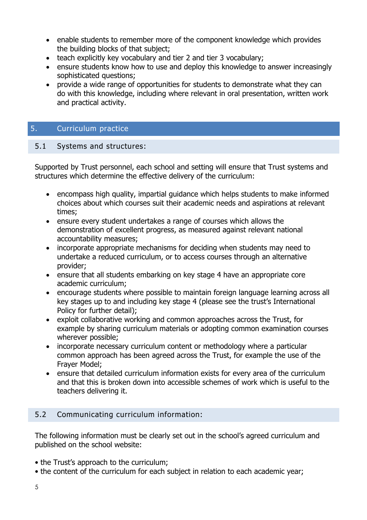- enable students to remember more of the component knowledge which provides the building blocks of that subject;
- teach explicitly key vocabulary and tier 2 and tier 3 vocabulary;
- ensure students know how to use and deploy this knowledge to answer increasingly sophisticated questions;
- provide a wide range of opportunities for students to demonstrate what they can do with this knowledge, including where relevant in oral presentation, written work and practical activity.

# 5. Curriculum practice

#### 5.1 Systems and structures:

Supported by Trust personnel, each school and setting will ensure that Trust systems and structures which determine the effective delivery of the curriculum:

- encompass high quality, impartial guidance which helps students to make informed choices about which courses suit their academic needs and aspirations at relevant times;
- ensure every student undertakes a range of courses which allows the demonstration of excellent progress, as measured against relevant national accountability measures;
- incorporate appropriate mechanisms for deciding when students may need to undertake a reduced curriculum, or to access courses through an alternative provider;
- ensure that all students embarking on key stage 4 have an appropriate core academic curriculum;
- encourage students where possible to maintain foreign language learning across all key stages up to and including key stage 4 (please see the trust's International Policy for further detail);
- exploit collaborative working and common approaches across the Trust, for example by sharing curriculum materials or adopting common examination courses wherever possible;
- incorporate necessary curriculum content or methodology where a particular common approach has been agreed across the Trust, for example the use of the Frayer Model;
- ensure that detailed curriculum information exists for every area of the curriculum and that this is broken down into accessible schemes of work which is useful to the teachers delivering it.

#### 5.2 Communicating curriculum information:

The following information must be clearly set out in the school's agreed curriculum and published on the school website:

- the Trust's approach to the curriculum;
- the content of the curriculum for each subject in relation to each academic year;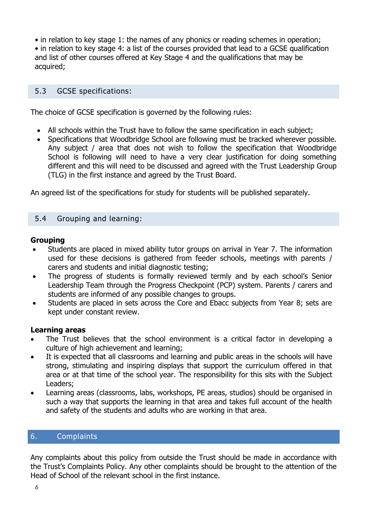• in relation to key stage 1: the names of any phonics or reading schemes in operation;

• in relation to key stage 4: a list of the courses provided that lead to a GCSE qualification and list of other courses offered at Key Stage 4 and the qualifications that may be acquired;

#### 5.3 GCSE specifications:

The choice of GCSE specification is governed by the following rules:

- All schools within the Trust have to follow the same specification in each subject;
- Specifications that Woodbridge School are following must be tracked wherever possible. Any subject / area that does not wish to follow the specification that Woodbridge School is following will need to have a very clear justification for doing something different and this will need to be discussed and agreed with the Trust Leadership Group (TLG) in the first instance and agreed by the Trust Board.

An agreed list of the specifications for study for students will be published separately.

#### 5.4 Grouping and learning:

#### **Grouping**

- Students are placed in mixed ability tutor groups on arrival in Year 7. The information used for these decisions is gathered from feeder schools, meetings with parents / carers and students and initial diagnostic testing;
- The progress of students is formally reviewed termly and by each school's Senior Leadership Team through the Progress Checkpoint (PCP) system. Parents / carers and students are informed of any possible changes to groups.
- Students are placed in sets across the Core and Ebacc subjects from Year 8; sets are kept under constant review.

#### **Learning areas**

- The Trust believes that the school environment is a critical factor in developing a culture of high achievement and learning;
- It is expected that all classrooms and learning and public areas in the schools will have strong, stimulating and inspiring displays that support the curriculum offered in that area or at that time of the school year. The responsibility for this sits with the Subject Leaders;
- Learning areas (classrooms, labs, workshops, PE areas, studios) should be organised in such a way that supports the learning in that area and takes full account of the health and safety of the students and adults who are working in that area.

### 6. Complaints

Any complaints about this policy from outside the Trust should be made in accordance with the Trust's Complaints Policy. Any other complaints should be brought to the attention of the Head of School of the relevant school in the first instance.